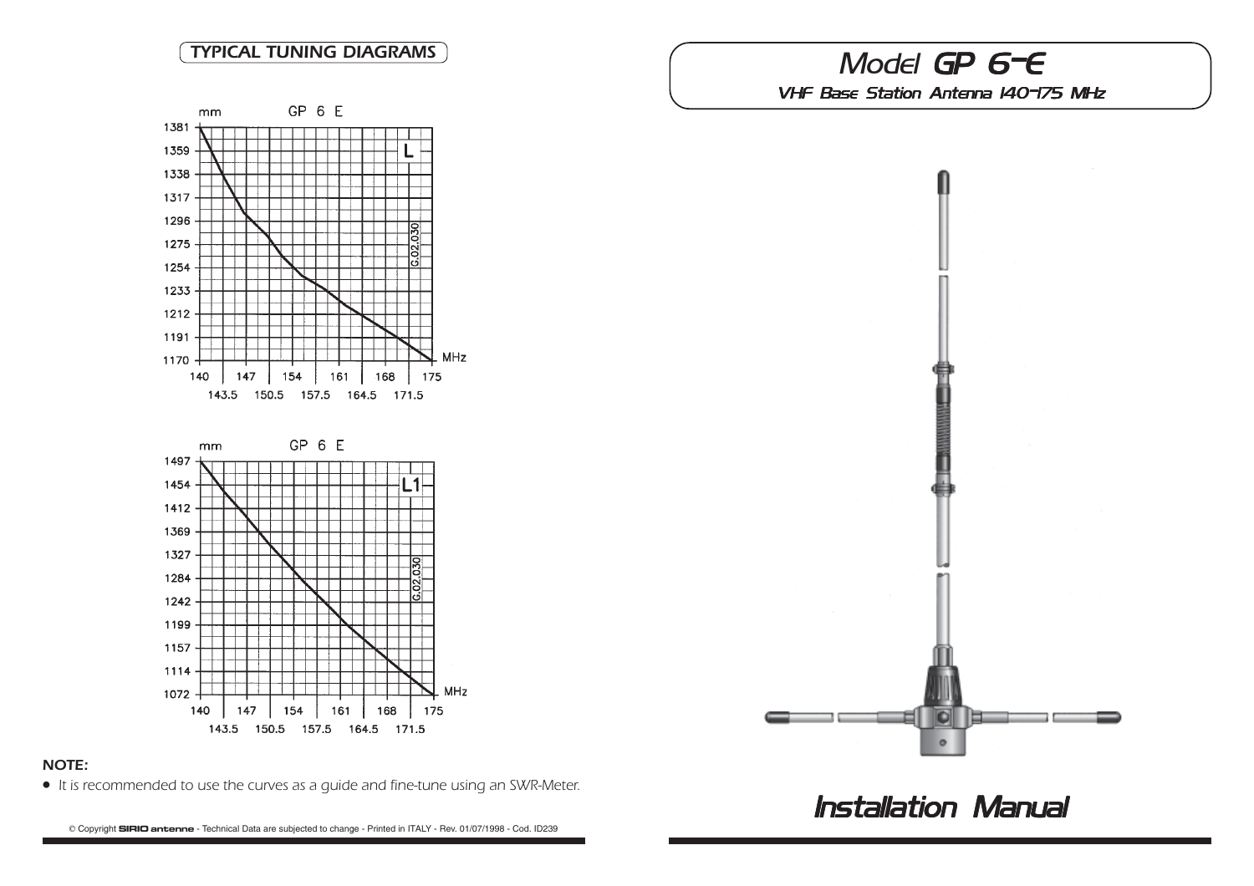

# NOTE:

• It is recommended to use the curves as a guide and fine-tune using an SWR-Meter.

B Copyright **SIRIO antenne** - Technical Data are subjected to change - Printed in ITALY - Rev. 01/07/1998 - Cod. ID239

# TYPICAL TUNING DIAGRAMS

VHF Base Station Antenna 140-175 MHz



**Installation Manual**